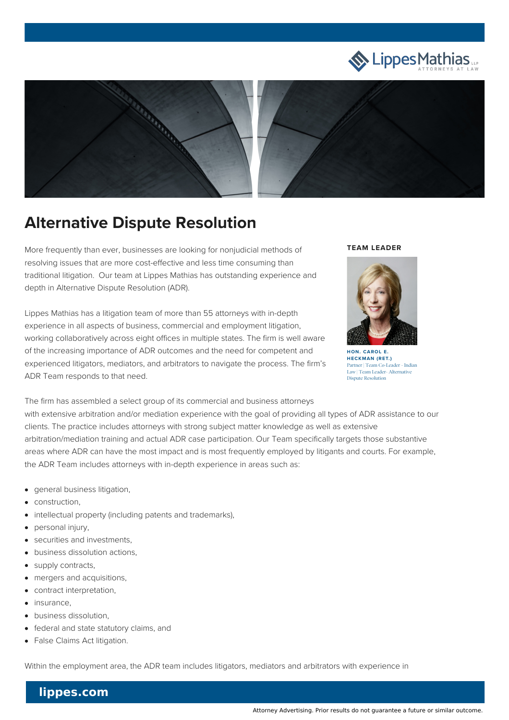



## **Alternative Dispute Resolution**

More frequently than ever, businesses are looking for nonjudicial methods of resolving issues that are more cost-effective and less time consuming than traditional litigation. Our team at Lippes Mathias has outstanding experience and depth in Alternative Dispute Resolution (ADR).

Lippes Mathias has a litigation team of more than 55 attorneys with in-depth experience in all aspects of business, commercial and employment litigation, working collaboratively across eight offices in multiple states. The firm is well aware of the increasing importance of ADR outcomes and the need for competent and experienced litigators, mediators, and arbitrators to navigate the process. The firm's ADR Team responds to that need.

## **TEAM LEADER**



**[HECKMAN](file:///team/hon-carol-e-heckman-ret-46) (RET.)** Partner | Team Co-Leader - Indian Law | Team Leader- Alternative Dispute Resolution

The firm has assembled a select group of its commercial and business attorneys with extensive arbitration and/or mediation experience with the goal of providing all types of ADR assistance to our clients. The practice includes attorneys with strong subject matter knowledge as well as extensive arbitration/mediation training and actual ADR case participation. Our Team specifically targets those substantive areas where ADR can have the most impact and is most frequently employed by litigants and courts. For example, the ADR Team includes attorneys with in-depth experience in areas such as:

- general business litigation,
- construction,
- intellectual property (including patents and trademarks),  $\bullet$
- personal injury,
- securities and investments,
- business dissolution actions,
- supply contracts,
- mergers and acquisitions,  $\bullet$
- contract interpretation,
- insurance,
- business dissolution,
- federal and state statutory claims, and
- False Claims Act litigation.

Within the employment area, the ADR team includes litigators, mediators and arbitrators with experience in

## **lippes.com**